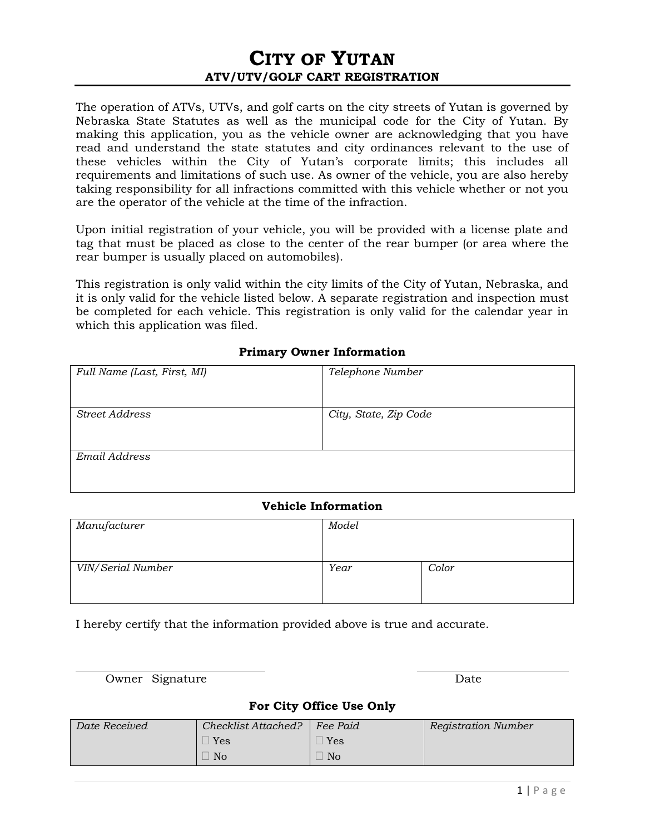## **CITY OF YUTAN ATV/UTV/GOLF CART REGISTRATION**

The operation of ATVs, UTVs, and golf carts on the city streets of Yutan is governed by Nebraska State Statutes as well as the municipal code for the City of Yutan. By making this application, you as the vehicle owner are acknowledging that you have read and understand the state statutes and city ordinances relevant to the use of these vehicles within the City of Yutan's corporate limits; this includes all requirements and limitations of such use. As owner of the vehicle, you are also hereby taking responsibility for all infractions committed with this vehicle whether or not you are the operator of the vehicle at the time of the infraction.

Upon initial registration of your vehicle, you will be provided with a license plate and tag that must be placed as close to the center of the rear bumper (or area where the rear bumper is usually placed on automobiles).

This registration is only valid within the city limits of the City of Yutan, Nebraska, and it is only valid for the vehicle listed below. A separate registration and inspection must be completed for each vehicle. This registration is only valid for the calendar year in which this application was filed.

## **Primary Owner Information**

| Full Name (Last, First, MI) | Telephone Number      |
|-----------------------------|-----------------------|
|                             |                       |
|                             |                       |
| <b>Street Address</b>       | City, State, Zip Code |
|                             |                       |
|                             |                       |
| Email Address               |                       |
|                             |                       |
|                             |                       |

## **Vehicle Information**

| Manufacturer      | Model |       |
|-------------------|-------|-------|
| VIN/Serial Number | Year  | Color |

I hereby certify that the information provided above is true and accurate.

Owner Signature Date

## **For City Office Use Only**

| Date Received | Checklist Attached? | Fee Paid          | <b>Registration Number</b> |
|---------------|---------------------|-------------------|----------------------------|
|               | Yes                 | $\Box$ Yes $\Box$ |                            |
|               | No                  | N <sub>o</sub>    |                            |